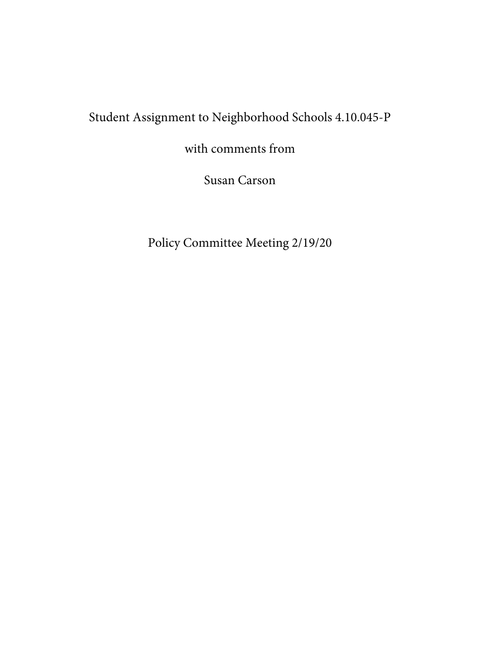## Student Assignment to Neighborhood Schools 4.10.045-P

with comments from

Susan Carson

Policy Committee Meeting 2/19/20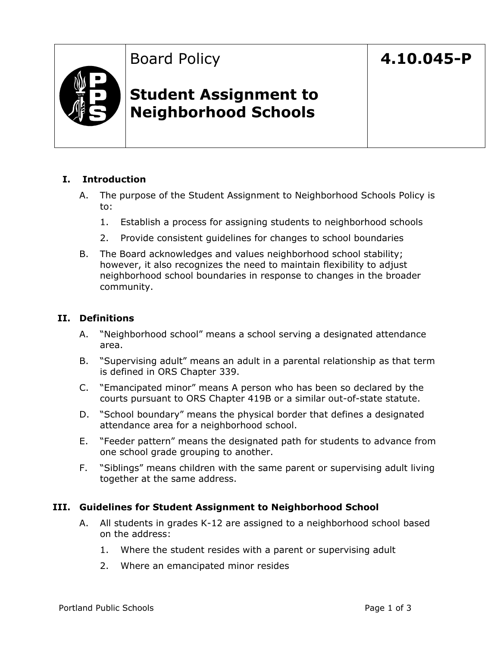## Board Policy

## **4.10.045-P**



### **Student Assignment to Neighborhood Schools**

### **I. Introduction**

- A. The purpose of the Student Assignment to Neighborhood Schools Policy is to:
	- 1. Establish a process for assigning students to neighborhood schools
	- 2. Provide consistent guidelines for changes to school boundaries
- B. The Board acknowledges and values neighborhood school stability; however, it also recognizes the need to maintain flexibility to adjust neighborhood school boundaries in response to changes in the broader community.

#### **II. Definitions**

- A. "Neighborhood school" means a school serving a designated attendance area.
- B. "Supervising adult" means an adult in a parental relationship as that term is defined in ORS Chapter 339.
- C. "Emancipated minor" means A person who has been so declared by the courts pursuant to ORS Chapter 419B or a similar out-of-state statute.
- D. "School boundary" means the physical border that defines a designated attendance area for a neighborhood school.
- E. "Feeder pattern" means the designated path for students to advance from one school grade grouping to another.
- F. "Siblings" means children with the same parent or supervising adult living together at the same address.

### **III. Guidelines for Student Assignment to Neighborhood School**

- A. All students in grades K-12 are assigned to a neighborhood school based on the address:
	- 1. Where the student resides with a parent or supervising adult
	- 2. Where an emancipated minor resides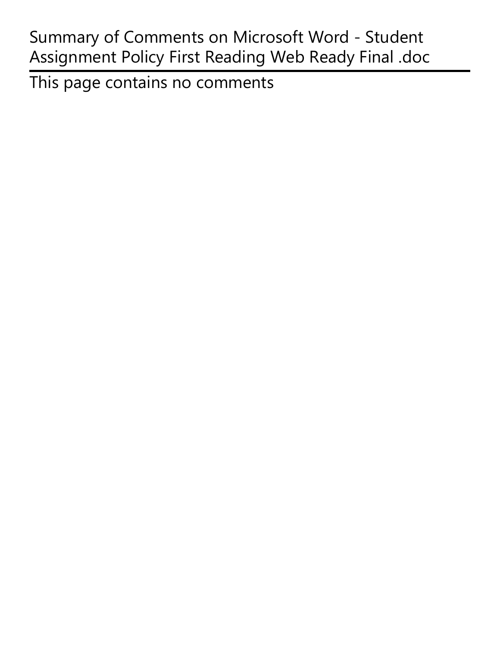# Summary of Comments on Microsoft Word - Student Assignment Policy First Reading Web Ready Final .doc

This page contains no comments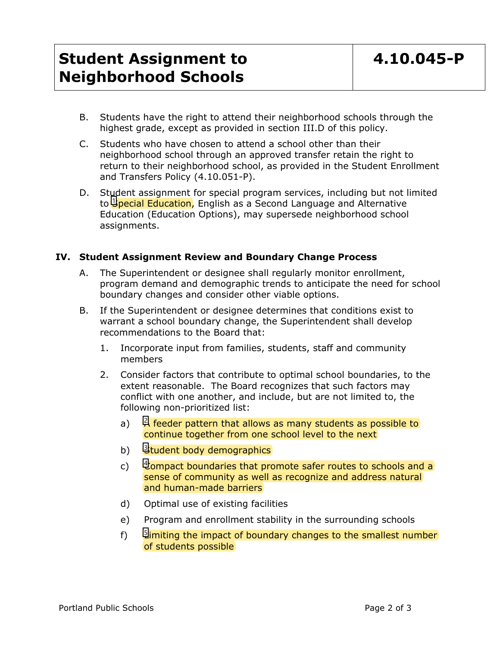## **Student Assignment to Neighborhood Schools**

- B. Students have the right to attend their neighborhood schools through the highest grade, except as provided in section III.D of this policy.
- C. Students who have chosen to attend a school other than their neighborhood school through an approved transfer retain the right to return to their neighborhood school, as provided in the Student Enrollment and Transfers Policy (4.10.051-P).
- D. Student assignment for special program services, including but not limited to <mark>Upecial Education</mark>, English as a Second Language and Alternative Education (Education Options), may supersede neighborhood school assignments.

### **IV. Student Assignment Review and Boundary Change Process**

- A. The Superintendent or designee shall regularly monitor enrollment, program demand and demographic trends to anticipate the need for school boundary changes and consider other viable options.
- B. If the Superintendent or designee determines that conditions exist to warrant a school boundary change, the Superintendent shall develop recommendations to the Board that:
	- 1. Incorporate input from families, students, staff and community members
	- 2. Consider factors that contribute to optimal school boundaries, to the extent reasonable. The Board recognizes that such factors may conflict with one another, and include, but are not limited to, the following non-prioritized list:
		- a) A feeder pattern that allows as many students as possible to 2 continue together from one school level to the next
		- b) Student body demographics
		- c) Let ompact boundaries that promote safer routes to schools and a sense of community as well as recognize and address natural and human-made barriers
		- d) Optimal use of existing facilities
		- e) Program and enrollment stability in the surrounding schools
		- f) Limiting the impact of boundary changes to the smallest number of students possible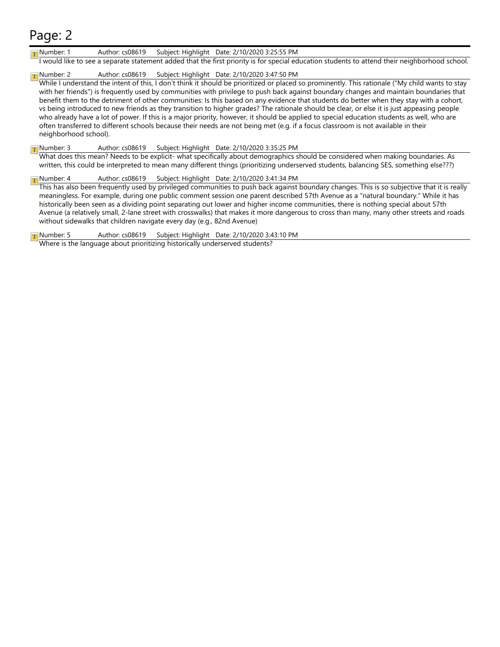#### Number: 1 Author: cs08619 Subject: Highlight Date: 2/10/2020 3:25:55 PM

I would like to see a separate statement added that the first priority is for special education students to attend their neighborhood school.

#### Number: 2 Author: cs08619 Subject: Highlight Date: 2/10/2020 3:47:50 PM

While I understand the intent of this, I don't think it should be prioritized or placed so prominently. This rationale ("My child wants to stay with her friends") is frequently used by communities with privilege to push back against boundary changes and maintain boundaries that benefit them to the detriment of other communities: Is this based on any evidence that students do better when they stay with a cohort, vs being introduced to new friends as they transition to higher grades? The rationale should be clear, or else it is just appeasing people who already have a lot of power. If this is a major priority, however, it should be applied to special education students as well, who are often transferred to different schools because their needs are not being met (e.g. if a focus classroom is not available in their neighborhood school).

#### Number: 3 Author: cs08619 Subject: Highlight Date: 2/10/2020 3:35:25 PM

What does this mean? Needs to be explicit- what specifically about demographics should be considered when making boundaries. As written, this could be interpreted to mean many different things (prioritizing underserved students, balancing SES, something else???)

#### Number: 4 Author: cs08619 Subject: Highlight Date: 2/10/2020 3:41:34 PM

This has also been frequently used by privileged communities to push back against boundary changes. This is so subjective that it is really meaningless. For example, during one public comment session one parent described 57th Avenue as a "natural boundary." While it has historically been seen as a dividing point separating out lower and higher income communities, there is nothing special about 57th Avenue (a relatively small, 2-lane street with crosswalks) that makes it more dangerous to cross than many, many other streets and roads without sidewalks that children navigate every day (e.g., 82nd Avenue)

Number: 5 Author: cs08619 Subject: Highlight Date: 2/10/2020 3:43:10 PM

Where is the language about prioritizing historically underserved students?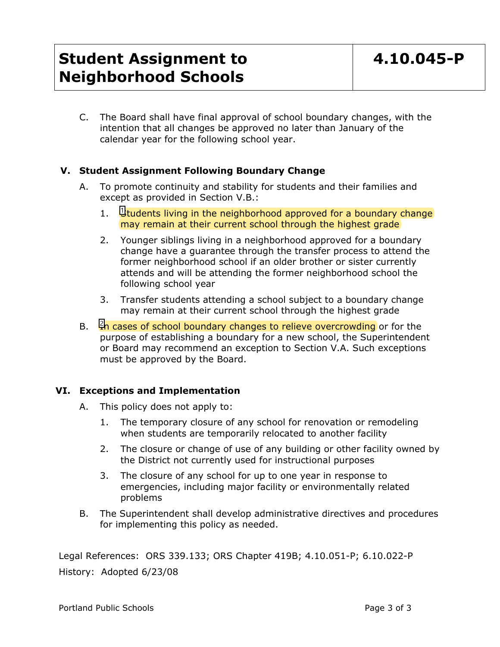## **Student Assignment to Neighborhood Schools**

C. The Board shall have final approval of school boundary changes, with the intention that all changes be approved no later than January of the calendar year for the following school year.

### **V. Student Assignment Following Boundary Change**

- A. To promote continuity and stability for students and their families and except as provided in Section V.B.:
	- 1.  $\frac{11}{2}$ tudents living in the neighborhood approved for a boundary change may remain at their current school through the highest grade
	- 2. Younger siblings living in a neighborhood approved for a boundary change have a guarantee through the transfer process to attend the former neighborhood school if an older brother or sister currently attends and will be attending the former neighborhood school the following school year
	- 3. Transfer students attending a school subject to a boundary change may remain at their current school through the highest grade
- B. Let cases of school boundary changes to relieve overcrowding or for the purpose of establishing a boundary for a new school, the Superintendent or Board may recommend an exception to Section V.A. Such exceptions must be approved by the Board.

### **VI. Exceptions and Implementation**

- A. This policy does not apply to:
	- 1. The temporary closure of any school for renovation or remodeling when students are temporarily relocated to another facility
	- 2. The closure or change of use of any building or other facility owned by the District not currently used for instructional purposes
	- 3. The closure of any school for up to one year in response to emergencies, including major facility or environmentally related problems
- B. The Superintendent shall develop administrative directives and procedures for implementing this policy as needed.

Legal References: ORS 339.133; ORS Chapter 419B; 4.10.051-P; 6.10.022-P History: Adopted 6/23/08